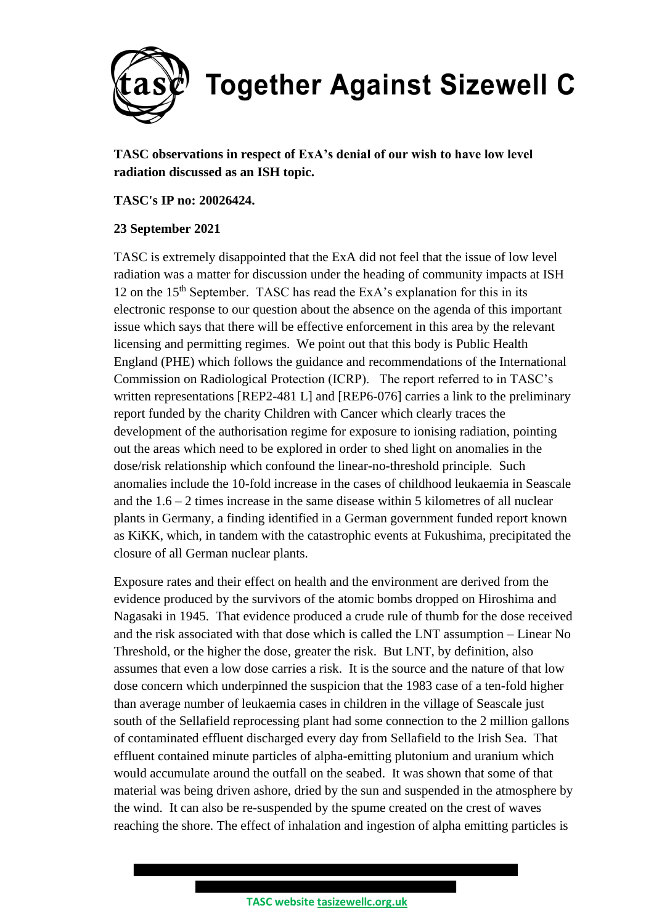

**TASC observations in respect of ExA's denial of our wish to have low level radiation discussed as an ISH topic.**

## **TASC's IP no: 20026424.**

## **23 September 2021**

TASC is extremely disappointed that the ExA did not feel that the issue of low level radiation was a matter for discussion under the heading of community impacts at ISH 12 on the  $15<sup>th</sup>$  September. TASC has read the ExA's explanation for this in its electronic response to our question about the absence on the agenda of this important issue which says that there will be effective enforcement in this area by the relevant licensing and permitting regimes. We point out that this body is Public Health England (PHE) which follows the guidance and recommendations of the International Commission on Radiological Protection (ICRP). The report referred to in TASC's written representations [REP2-481 L] and [REP6-076] carries a link to the preliminary report funded by the charity Children with Cancer which clearly traces the development of the authorisation regime for exposure to ionising radiation, pointing out the areas which need to be explored in order to shed light on anomalies in the dose/risk relationship which confound the linear-no-threshold principle. Such anomalies include the 10-fold increase in the cases of childhood leukaemia in Seascale and the 1.6 – 2 times increase in the same disease within 5 kilometres of all nuclear plants in Germany, a finding identified in a German government funded report known as KiKK, which, in tandem with the catastrophic events at Fukushima, precipitated the closure of all German nuclear plants.

Exposure rates and their effect on health and the environment are derived from the evidence produced by the survivors of the atomic bombs dropped on Hiroshima and Nagasaki in 1945. That evidence produced a crude rule of thumb for the dose received and the risk associated with that dose which is called the LNT assumption – Linear No Threshold, or the higher the dose, greater the risk. But LNT, by definition, also assumes that even a low dose carries a risk. It is the source and the nature of that low dose concern which underpinned the suspicion that the 1983 case of a ten-fold higher than average number of leukaemia cases in children in the village of Seascale just south of the Sellafield reprocessing plant had some connection to the 2 million gallons of contaminated effluent discharged every day from Sellafield to the Irish Sea. That effluent contained minute particles of alpha-emitting plutonium and uranium which would accumulate around the outfall on the seabed. It was shown that some of that material was being driven ashore, dried by the sun and suspended in the atmosphere by the wind. It can also be re-suspended by the spume created on the crest of waves reaching the shore. The effect of inhalation and ingestion of alpha emitting particles is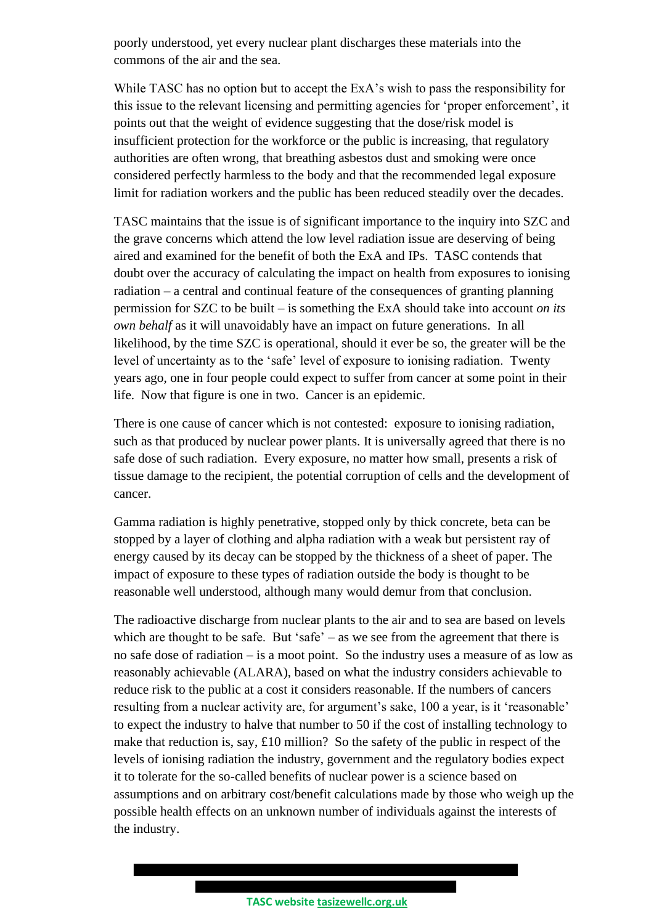poorly understood, yet every nuclear plant discharges these materials into the commons of the air and the sea.

While TASC has no option but to accept the ExA's wish to pass the responsibility for this issue to the relevant licensing and permitting agencies for 'proper enforcement', it points out that the weight of evidence suggesting that the dose/risk model is insufficient protection for the workforce or the public is increasing, that regulatory authorities are often wrong, that breathing asbestos dust and smoking were once considered perfectly harmless to the body and that the recommended legal exposure limit for radiation workers and the public has been reduced steadily over the decades.

TASC maintains that the issue is of significant importance to the inquiry into SZC and the grave concerns which attend the low level radiation issue are deserving of being aired and examined for the benefit of both the ExA and IPs. TASC contends that doubt over the accuracy of calculating the impact on health from exposures to ionising radiation – a central and continual feature of the consequences of granting planning permission for SZC to be built – is something the ExA should take into account *on its own behalf* as it will unavoidably have an impact on future generations. In all likelihood, by the time SZC is operational, should it ever be so, the greater will be the level of uncertainty as to the 'safe' level of exposure to ionising radiation. Twenty years ago, one in four people could expect to suffer from cancer at some point in their life. Now that figure is one in two. Cancer is an epidemic.

There is one cause of cancer which is not contested: exposure to ionising radiation, such as that produced by nuclear power plants. It is universally agreed that there is no safe dose of such radiation. Every exposure, no matter how small, presents a risk of tissue damage to the recipient, the potential corruption of cells and the development of cancer.

Gamma radiation is highly penetrative, stopped only by thick concrete, beta can be stopped by a layer of clothing and alpha radiation with a weak but persistent ray of energy caused by its decay can be stopped by the thickness of a sheet of paper. The impact of exposure to these types of radiation outside the body is thought to be reasonable well understood, although many would demur from that conclusion.

The radioactive discharge from nuclear plants to the air and to sea are based on levels which are thought to be safe. But 'safe' – as we see from the agreement that there is no safe dose of radiation – is a moot point. So the industry uses a measure of as low as reasonably achievable (ALARA), based on what the industry considers achievable to reduce risk to the public at a cost it considers reasonable. If the numbers of cancers resulting from a nuclear activity are, for argument's sake, 100 a year, is it 'reasonable' to expect the industry to halve that number to 50 if the cost of installing technology to make that reduction is, say, £10 million? So the safety of the public in respect of the levels of ionising radiation the industry, government and the regulatory bodies expect it to tolerate for the so-called benefits of nuclear power is a science based on assumptions and on arbitrary cost/benefit calculations made by those who weigh up the possible health effects on an unknown number of individuals against the interests of the industry.